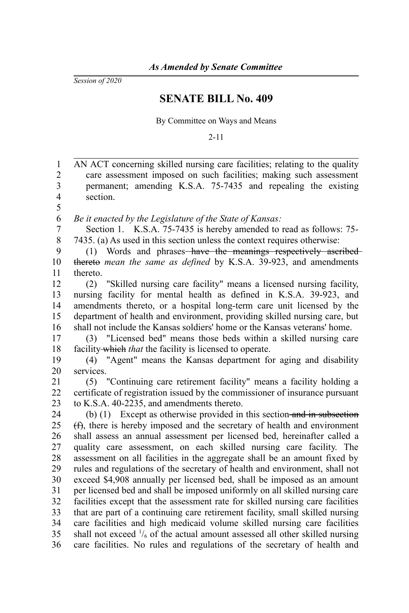*Session of 2020*

## **SENATE BILL No. 409**

By Committee on Ways and Means

2-11

AN ACT concerning skilled nursing care facilities; relating to the quality care assessment imposed on such facilities; making such assessment permanent; amending K.S.A. 75-7435 and repealing the existing section. *Be it enacted by the Legislature of the State of Kansas:* Section 1. K.S.A. 75-7435 is hereby amended to read as follows: 75- 7435. (a) As used in this section unless the context requires otherwise: (1) Words and phrases-have the meanings respectively ascribedthereto *mean the same as defined* by K.S.A. 39-923, and amendments thereto. (2) "Skilled nursing care facility" means a licensed nursing facility, nursing facility for mental health as defined in K.S.A. 39-923, and amendments thereto, or a hospital long-term care unit licensed by the department of health and environment, providing skilled nursing care, but shall not include the Kansas soldiers' home or the Kansas veterans' home. (3) "Licensed bed" means those beds within a skilled nursing care facility which *that* the facility is licensed to operate. (4) "Agent" means the Kansas department for aging and disability services. (5) "Continuing care retirement facility" means a facility holding a certificate of registration issued by the commissioner of insurance pursuant to K.S.A. 40-2235, and amendments thereto. (b) (1) Except as otherwise provided in this section and in subsection (f), there is hereby imposed and the secretary of health and environment shall assess an annual assessment per licensed bed, hereinafter called a quality care assessment, on each skilled nursing care facility. The assessment on all facilities in the aggregate shall be an amount fixed by rules and regulations of the secretary of health and environment, shall not exceed \$4,908 annually per licensed bed, shall be imposed as an amount per licensed bed and shall be imposed uniformly on all skilled nursing care facilities except that the assessment rate for skilled nursing care facilities that are part of a continuing care retirement facility, small skilled nursing care facilities and high medicaid volume skilled nursing care facilities shall not exceed  $\frac{1}{6}$  of the actual amount assessed all other skilled nursing care facilities. No rules and regulations of the secretary of health and 1 2 3 4 5 6 7 8 9 10 11 12 13 14 15 16 17 18 19 20 21 22 23 24 25 26 27 28 29 30 31 32 33 34 35 36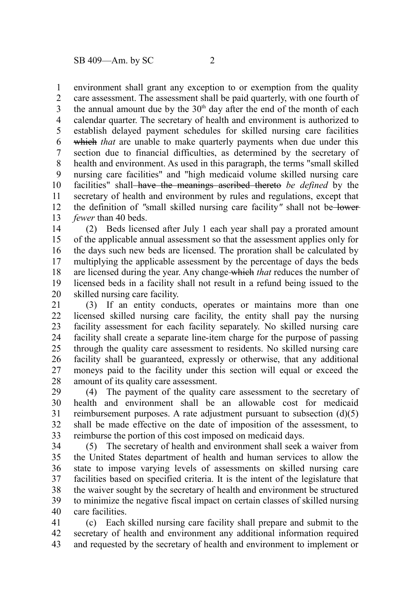environment shall grant any exception to or exemption from the quality care assessment. The assessment shall be paid quarterly, with one fourth of the annual amount due by the  $30<sup>th</sup>$  day after the end of the month of each calendar quarter. The secretary of health and environment is authorized to establish delayed payment schedules for skilled nursing care facilities which *that* are unable to make quarterly payments when due under this section due to financial difficulties, as determined by the secretary of health and environment. As used in this paragraph, the terms "small skilled nursing care facilities" and "high medicaid volume skilled nursing care facilities" shall have the meanings ascribed thereto *be defined* by the secretary of health and environment by rules and regulations, except that the definition of *"*small skilled nursing care facility*"* shall not be lower *fewer* than 40 beds. 1 2 3 4 5 6 7 8 9 10 11 12 13

(2) Beds licensed after July 1 each year shall pay a prorated amount of the applicable annual assessment so that the assessment applies only for the days such new beds are licensed. The proration shall be calculated by multiplying the applicable assessment by the percentage of days the beds are licensed during the year. Any change which *that* reduces the number of licensed beds in a facility shall not result in a refund being issued to the skilled nursing care facility. 14 15 16 17 18 19 20

(3) If an entity conducts, operates or maintains more than one licensed skilled nursing care facility, the entity shall pay the nursing facility assessment for each facility separately. No skilled nursing care facility shall create a separate line-item charge for the purpose of passing through the quality care assessment to residents. No skilled nursing care facility shall be guaranteed, expressly or otherwise, that any additional moneys paid to the facility under this section will equal or exceed the amount of its quality care assessment. 21 22 23 24 25 26 27 28

(4) The payment of the quality care assessment to the secretary of health and environment shall be an allowable cost for medicaid reimbursement purposes. A rate adjustment pursuant to subsection (d)(5) shall be made effective on the date of imposition of the assessment, to reimburse the portion of this cost imposed on medicaid days. 29 30 31 32 33

(5) The secretary of health and environment shall seek a waiver from the United States department of health and human services to allow the state to impose varying levels of assessments on skilled nursing care facilities based on specified criteria. It is the intent of the legislature that the waiver sought by the secretary of health and environment be structured to minimize the negative fiscal impact on certain classes of skilled nursing care facilities. 34 35 36 37 38 39 40

(c) Each skilled nursing care facility shall prepare and submit to the secretary of health and environment any additional information required and requested by the secretary of health and environment to implement or 41 42 43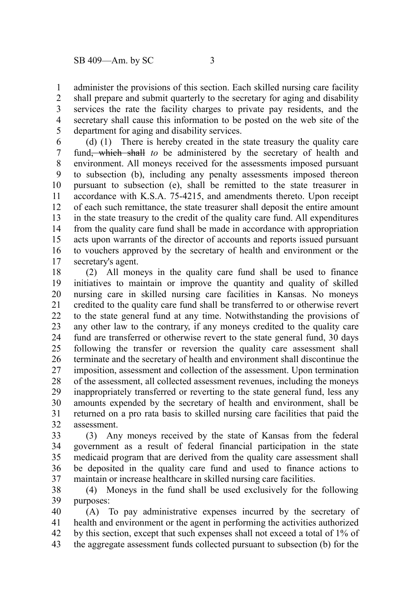administer the provisions of this section. Each skilled nursing care facility shall prepare and submit quarterly to the secretary for aging and disability services the rate the facility charges to private pay residents, and the secretary shall cause this information to be posted on the web site of the department for aging and disability services. 1 2 3 4 5

(d) (1) There is hereby created in the state treasury the quality care fund, which shall *to* be administered by the secretary of health and environment. All moneys received for the assessments imposed pursuant to subsection (b), including any penalty assessments imposed thereon pursuant to subsection (e), shall be remitted to the state treasurer in accordance with K.S.A. 75-4215, and amendments thereto. Upon receipt of each such remittance, the state treasurer shall deposit the entire amount in the state treasury to the credit of the quality care fund. All expenditures from the quality care fund shall be made in accordance with appropriation acts upon warrants of the director of accounts and reports issued pursuant to vouchers approved by the secretary of health and environment or the secretary's agent. 6 7 8 9 10 11 12 13 14 15 16 17

(2) All moneys in the quality care fund shall be used to finance initiatives to maintain or improve the quantity and quality of skilled nursing care in skilled nursing care facilities in Kansas. No moneys credited to the quality care fund shall be transferred to or otherwise revert to the state general fund at any time. Notwithstanding the provisions of any other law to the contrary, if any moneys credited to the quality care fund are transferred or otherwise revert to the state general fund, 30 days following the transfer or reversion the quality care assessment shall terminate and the secretary of health and environment shall discontinue the imposition, assessment and collection of the assessment. Upon termination of the assessment, all collected assessment revenues, including the moneys inappropriately transferred or reverting to the state general fund, less any amounts expended by the secretary of health and environment, shall be returned on a pro rata basis to skilled nursing care facilities that paid the assessment. 18 19 20 21 22 23 24 25 26 27 28 29 30 31 32

(3) Any moneys received by the state of Kansas from the federal government as a result of federal financial participation in the state medicaid program that are derived from the quality care assessment shall be deposited in the quality care fund and used to finance actions to maintain or increase healthcare in skilled nursing care facilities. 33 34 35 36 37

(4) Moneys in the fund shall be used exclusively for the following purposes: 38 39

(A) To pay administrative expenses incurred by the secretary of health and environment or the agent in performing the activities authorized by this section, except that such expenses shall not exceed a total of 1% of the aggregate assessment funds collected pursuant to subsection (b) for the 40 41 42 43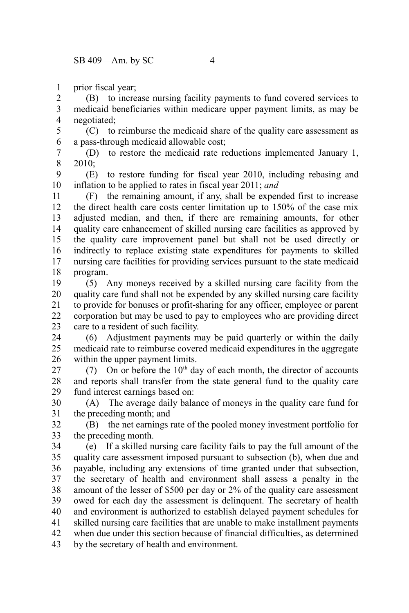prior fiscal year; 1

(B) to increase nursing facility payments to fund covered services to medicaid beneficiaries within medicare upper payment limits, as may be negotiated; 2 3 4

(C) to reimburse the medicaid share of the quality care assessment as a pass-through medicaid allowable cost; 5 6

(D) to restore the medicaid rate reductions implemented January 1, 2010; 7 8

(E) to restore funding for fiscal year 2010, including rebasing and inflation to be applied to rates in fiscal year 2011; *and* 9 10

(F) the remaining amount, if any, shall be expended first to increase the direct health care costs center limitation up to 150% of the case mix adjusted median, and then, if there are remaining amounts, for other quality care enhancement of skilled nursing care facilities as approved by the quality care improvement panel but shall not be used directly or indirectly to replace existing state expenditures for payments to skilled nursing care facilities for providing services pursuant to the state medicaid program. 11 12 13 14 15 16 17 18

(5) Any moneys received by a skilled nursing care facility from the quality care fund shall not be expended by any skilled nursing care facility to provide for bonuses or profit-sharing for any officer, employee or parent corporation but may be used to pay to employees who are providing direct care to a resident of such facility. 19 20 21 22 23

(6) Adjustment payments may be paid quarterly or within the daily medicaid rate to reimburse covered medicaid expenditures in the aggregate within the upper payment limits. 24 25 26

(7) On or before the  $10<sup>th</sup>$  day of each month, the director of accounts and reports shall transfer from the state general fund to the quality care fund interest earnings based on: 27 28 29

(A) The average daily balance of moneys in the quality care fund for the preceding month; and 30 31

(B) the net earnings rate of the pooled money investment portfolio for the preceding month. 32 33

(e) If a skilled nursing care facility fails to pay the full amount of the quality care assessment imposed pursuant to subsection (b), when due and payable, including any extensions of time granted under that subsection, the secretary of health and environment shall assess a penalty in the amount of the lesser of \$500 per day or 2% of the quality care assessment owed for each day the assessment is delinquent. The secretary of health and environment is authorized to establish delayed payment schedules for skilled nursing care facilities that are unable to make installment payments when due under this section because of financial difficulties, as determined by the secretary of health and environment. 34 35 36 37 38 39 40 41 42 43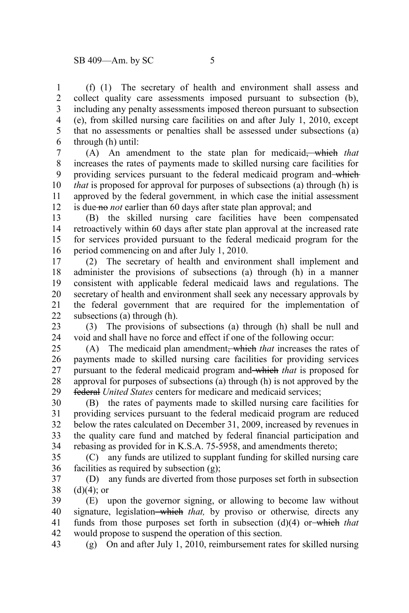(f) (1) The secretary of health and environment shall assess and collect quality care assessments imposed pursuant to subsection (b), including any penalty assessments imposed thereon pursuant to subsection (e), from skilled nursing care facilities on and after July 1, 2010, except that no assessments or penalties shall be assessed under subsections (a) through (h) until: 1 2 3 4 5 6

(A) An amendment to the state plan for medicaid, which *that* increases the rates of payments made to skilled nursing care facilities for providing services pursuant to the federal medicaid program and which *that* is proposed for approval for purposes of subsections (a) through (h) is approved by the federal government*,* in which case the initial assessment is due no *not* earlier than 60 days after state plan approval; and 7 8 9 10 11 12

(B) the skilled nursing care facilities have been compensated retroactively within 60 days after state plan approval at the increased rate for services provided pursuant to the federal medicaid program for the period commencing on and after July 1, 2010. 13 14 15 16

(2) The secretary of health and environment shall implement and administer the provisions of subsections (a) through (h) in a manner consistent with applicable federal medicaid laws and regulations. The secretary of health and environment shall seek any necessary approvals by the federal government that are required for the implementation of subsections (a) through (h). 17 18 19 20 21 22

(3) The provisions of subsections (a) through (h) shall be null and void and shall have no force and effect if one of the following occur: 23 24

(A) The medicaid plan amendment, which *that* increases the rates of payments made to skilled nursing care facilities for providing services pursuant to the federal medicaid program and which *that* is proposed for approval for purposes of subsections (a) through (h) is not approved by the federal *United States* centers for medicare and medicaid services; 25 26 27 28 29

(B) the rates of payments made to skilled nursing care facilities for providing services pursuant to the federal medicaid program are reduced below the rates calculated on December 31, 2009, increased by revenues in the quality care fund and matched by federal financial participation and rebasing as provided for in K.S.A. 75-5958, and amendments thereto; 30 31 32 33 34

(C) any funds are utilized to supplant funding for skilled nursing care facilities as required by subsection (g); 35 36

(D) any funds are diverted from those purposes set forth in subsection  $(d)(4)$ ; or 37 38

(E) upon the governor signing, or allowing to become law without signature, legislation-which that, by proviso or otherwise, directs any funds from those purposes set forth in subsection (d)(4) or which *that* would propose to suspend the operation of this section. 39 40 41 42

(g) On and after July 1, 2010, reimbursement rates for skilled nursing 43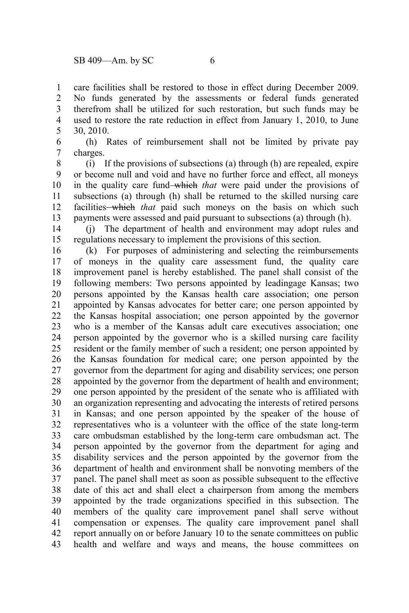care facilities shall be restored to those in effect during December 2009. No funds generated by the assessments or federal funds generated therefrom shall be utilized for such restoration, but such funds may be used to restore the rate reduction in effect from January 1, 2010, to June 30, 2010. 1 2 3 4 5

(h) Rates of reimbursement shall not be limited by private pay charges. 6 7

(i) If the provisions of subsections (a) through (h) are repealed, expire or become null and void and have no further force and effect, all moneys in the quality care fund which *that* were paid under the provisions of subsections (a) through (h) shall be returned to the skilled nursing care facilities which *that* paid such moneys on the basis on which such payments were assessed and paid pursuant to subsections (a) through (h). 8 9 10 11 12 13

(j) The department of health and environment may adopt rules and regulations necessary to implement the provisions of this section. 14 15

(k) For purposes of administering and selecting the reimbursements of moneys in the quality care assessment fund, the quality care improvement panel is hereby established. The panel shall consist of the following members: Two persons appointed by leadingage Kansas; two persons appointed by the Kansas health care association; one person appointed by Kansas advocates for better care; one person appointed by the Kansas hospital association; one person appointed by the governor who is a member of the Kansas adult care executives association; one person appointed by the governor who is a skilled nursing care facility resident or the family member of such a resident; one person appointed by the Kansas foundation for medical care; one person appointed by the governor from the department for aging and disability services; one person appointed by the governor from the department of health and environment; one person appointed by the president of the senate who is affiliated with an organization representing and advocating the interests of retired persons in Kansas; and one person appointed by the speaker of the house of representatives who is a volunteer with the office of the state long-term care ombudsman established by the long-term care ombudsman act. The person appointed by the governor from the department for aging and disability services and the person appointed by the governor from the department of health and environment shall be nonvoting members of the panel. The panel shall meet as soon as possible subsequent to the effective date of this act and shall elect a chairperson from among the members appointed by the trade organizations specified in this subsection. The members of the quality care improvement panel shall serve without compensation or expenses. The quality care improvement panel shall report annually on or before January 10 to the senate committees on public health and welfare and ways and means, the house committees on 16 17 18 19 20 21 22 23 24 25 26 27 28 29 30 31 32 33 34 35 36 37 38 39 40 41 42 43